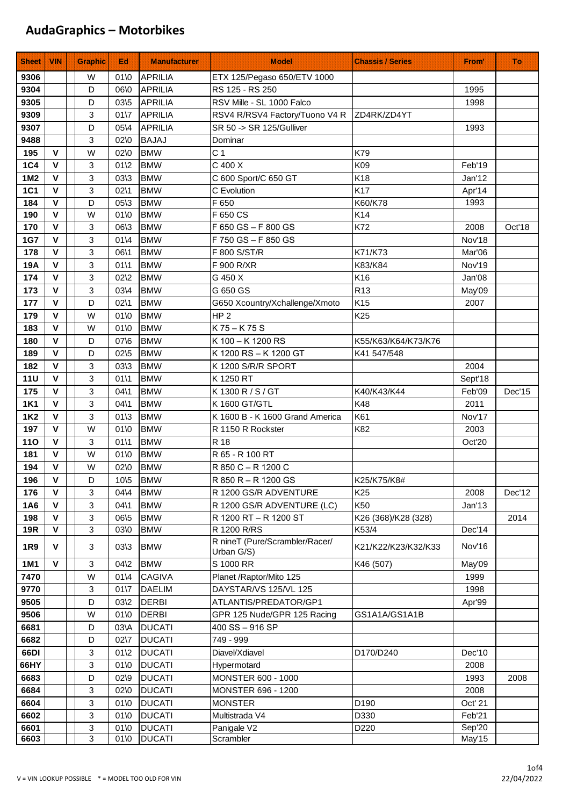| <b>Sheet</b> | <b>VIN</b>                 | Graphic                   | Ed               | <b>Manufacturer</b>      | <b>Model</b>                               | <b>Chassis / Series</b> | From'   | Πö     |
|--------------|----------------------------|---------------------------|------------------|--------------------------|--------------------------------------------|-------------------------|---------|--------|
| 9306         |                            | W                         | $01$ \0          | <b>APRILIA</b>           | ETX 125/Pegaso 650/ETV 1000                |                         |         |        |
| 9304         |                            | D                         | 06\0             | <b>APRILIA</b>           | RS 125 - RS 250                            |                         | 1995    |        |
| 9305         |                            | D                         | 03/5             | <b>APRILIA</b>           | RSV Mille - SL 1000 Falco                  |                         | 1998    |        |
| 9309         |                            | 3                         | $01\sqrt{7}$     | <b>APRILIA</b>           | RSV4 R/RSV4 Factory/Tuono V4 R ZD4RK/ZD4YT |                         |         |        |
| 9307         |                            | D                         | 05\4             | <b>APRILIA</b>           | SR 50 -> SR 125/Gulliver                   |                         | 1993    |        |
| 9488         |                            | 3                         | 02\0             | <b>BAJAJ</b>             | Dominar                                    |                         |         |        |
| 195          | $\mathbf{V}$               | W                         | 02\0             | <b>BMW</b>               | C <sub>1</sub>                             | K79                     |         |        |
| <b>1C4</b>   | $\mathbf v$                | 3                         | $01\$ 2          | <b>BMW</b>               | C 400 X                                    | K09                     | Feb'19  |        |
| 1M2          | $\mathbf v$                | 3                         | 03\3             | <b>BMW</b>               | C 600 Sport/C 650 GT                       | K18                     | Jan'12  |        |
| 1C1          | V                          | 3                         | $02\$ 1          | <b>BMW</b>               | C Evolution                                | K17                     | Apr'14  |        |
| 184          | v                          | D                         | 05\3             | <b>BMW</b>               | F 650                                      | K60/K78                 | 1993    |        |
| 190          | $\mathbf v$                | W                         | $01$ \0          | <b>BMW</b>               | F 650 CS                                   | K14                     |         |        |
| 170          | $\mathbf v$                | 3                         | 06\3             | <b>BMW</b>               | F 650 GS - F 800 GS                        | K72                     | 2008    | Oct'18 |
| <b>1G7</b>   | $\mathbf v$                | 3                         | $01\$            | <b>BMW</b>               | F 750 GS - F 850 GS                        |                         | Nov'18  |        |
| 178          | $\mathbf v$                | 3                         | 06\1             | <b>BMW</b>               | F 800 S/ST/R                               | K71/K73                 | Mar'06  |        |
| 19A          | $\mathbf v$                | 3                         | 0111             | <b>BMW</b>               | F 900 R/XR                                 | K83/K84                 | Nov'19  |        |
| 174          | $\mathbf{V}$               | 3                         | $02\frac{2}{2}$  | <b>BMW</b>               | G 450 X                                    | K16                     | Jan'08  |        |
| 173          | $\mathbf v$                | 3                         | 03\4             | <b>BMW</b>               | G 650 GS                                   | R <sub>13</sub>         | May'09  |        |
| 177          | $\mathbf v$                | D                         | $02\backslash1$  | <b>BMW</b>               | G650 Xcountry/Xchallenge/Xmoto             | K15                     | 2007    |        |
| 179          | $\mathbf v$                | W                         | $01$ \0          | <b>BMW</b>               | HP <sub>2</sub>                            | K <sub>25</sub>         |         |        |
| 183          | $\mathbf v$                | W                         | $01$ \0          | <b>BMW</b>               | K 75 - K 75 S                              |                         |         |        |
| 180          | $\mathbf{V}$               | D                         | 07\6             | <b>BMW</b>               | K 100 - K 1200 RS                          | K55/K63/K64/K73/K76     |         |        |
| 189          | V                          | D                         | $02\,5$          | <b>BMW</b>               | K 1200 RS - K 1200 GT                      | K41 547/548             |         |        |
| 182          | $\mathbf v$                | 3                         | 03\3             | <b>BMW</b>               | K 1200 S/R/R SPORT                         |                         | 2004    |        |
| <b>11U</b>   | $\mathbf v$                | 3                         | 0111             | <b>BMW</b>               | K 1250 RT                                  |                         | Sept'18 |        |
| 175          | V                          | 3                         | $04\backslash 1$ | <b>BMW</b>               | K 1300 R / S / GT                          | K40/K43/K44             | Feb'09  | Dec'15 |
| <b>1K1</b>   | $\mathbf v$                | 3                         | $04\backslash1$  | <b>BMW</b>               | K 1600 GT/GTL                              | K48                     | 2011    |        |
| <b>1K2</b>   | $\mathbf v$                | 3                         | $01 \times 3$    | <b>BMW</b>               | K 1600 B - K 1600 Grand America            | K61                     | Nov'17  |        |
| 197          | $\mathbf v$<br>$\mathbf v$ | W                         | $01$ \0          | <b>BMW</b>               | R 1150 R Rockster                          | K82                     | 2003    |        |
| 110          | v                          | 3                         | 0111             | <b>BMW</b>               | R 18                                       |                         | Oct'20  |        |
| 181<br>194   | V                          | W<br>W                    | $01$ \0<br>02\0  | <b>BMW</b><br><b>BMW</b> | R 65 - R 100 RT<br>R 850 C - R 1200 C      |                         |         |        |
| 196          | $\pmb{\mathsf{V}}$         | D                         | $10\frac{5}{5}$  | <b>BMW</b>               | R 850 R - R 1200 GS                        | K25/K75/K8#             |         |        |
| 176          | V                          | 3                         | $04\sqrt{4}$     | <b>BMW</b>               | R 1200 GS/R ADVENTURE                      | K <sub>25</sub>         | 2008    | Dec'12 |
| 1A6          | V                          | 3                         | $04$ 1           | <b>BMW</b>               | R 1200 GS/R ADVENTURE (LC)                 | K50                     | Jan'13  |        |
| 198          | V                          | 3                         | 06\5             | <b>BMW</b>               | R 1200 RT - R 1200 ST                      | K26 (368)/K28 (328)     |         | 2014   |
| <b>19R</b>   | V                          | 3                         | 03\0             | <b>BMW</b>               | R 1200 R/RS                                | K53/4                   | Dec'14  |        |
|              |                            |                           |                  |                          | R nineT (Pure/Scrambler/Racer/             |                         |         |        |
| 1R9          | ۷                          | 3                         | $03\frac{3}{3}$  | <b>BMW</b>               | Urban G/S)                                 | K21/K22/K23/K32/K33     | Nov'16  |        |
| 1M1          | V                          | $\ensuremath{\mathsf{3}}$ | $04\sqrt{2}$     | <b>BMW</b>               | S 1000 RR                                  | K46 (507)               | May'09  |        |
| 7470         |                            | W                         | $01\sqrt{4}$     | <b>CAGIVA</b>            | Planet / Raptor/Mito 125                   |                         | 1999    |        |
| 9770         |                            | 3                         | $01\sqrt{7}$     | <b>DAELIM</b>            | DAYSTAR/VS 125/VL 125                      |                         | 1998    |        |
| 9505         |                            | D                         | $03\frac{2}{2}$  | <b>DERBI</b>             | ATLANTIS/PREDATOR/GP1                      |                         | Apr'99  |        |
| 9506         |                            | W                         | 01\0             | <b>DERBI</b>             | GPR 125 Nude/GPR 125 Racing                | GS1A1A/GS1A1B           |         |        |
| 6681         |                            | D                         | 03\A             | <b>DUCATI</b>            | 400 SS-916 SP                              |                         |         |        |
| 6682         |                            | D                         | $02\sqrt{7}$     | <b>DUCATI</b>            | 749 - 999                                  |                         |         |        |
| 66DI         |                            | 3                         | $01\frac{2}{2}$  | <b>DUCATI</b>            | Diavel/Xdiavel                             | D170/D240               | Dec'10  |        |
| 66HY         |                            | 3                         | $01$ \0          | <b>DUCATI</b>            | Hypermotard                                |                         | 2008    |        |
| 6683         |                            | D                         | $02\$            | <b>DUCATI</b>            | MONSTER 600 - 1000                         |                         | 1993    | 2008   |
| 6684         |                            | 3                         | 02\0             | <b>DUCATI</b>            | MONSTER 696 - 1200                         |                         | 2008    |        |
| 6604         |                            | 3                         | $01$ \0          | <b>DUCATI</b>            | <b>MONSTER</b>                             | D190                    | Oct' 21 |        |
| 6602         |                            | 3                         | $01$ \0          | <b>DUCATI</b>            | Multistrada V4                             | D330                    | Feb'21  |        |
| 6601         |                            | 3                         | 01\0             | <b>DUCATI</b>            | Panigale V2                                | D220                    | Sep'20  |        |
| 6603         |                            | 3                         | $01$ \0          | <b>DUCATI</b>            | Scrambler                                  |                         | May'15  |        |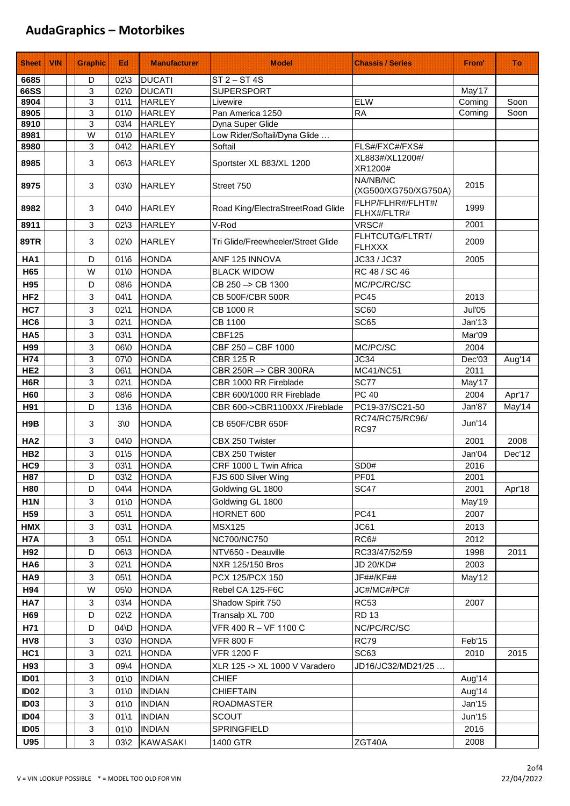| <b>Sheet</b>     | <b>VIN</b> | <b>Graphic</b> | Ed.                                  | <b>Manufacturer</b>          | <b>Model</b>                             | <b>Chassis / Series</b>          | From'  | Τö     |
|------------------|------------|----------------|--------------------------------------|------------------------------|------------------------------------------|----------------------------------|--------|--------|
| 6685             |            | D              | $02\frac{3}{3}$                      | <b>DUCATI</b>                | $ST 2 - ST 4S$                           |                                  |        |        |
| <b>66SS</b>      |            | 3              | $02$ \0                              | <b>DUCATI</b>                | <b>SUPERSPORT</b>                        |                                  | May'17 |        |
| 8904             |            | 3              | 0111                                 | <b>HARLEY</b>                | Livewire                                 | <b>ELW</b>                       | Coming | Soon   |
| 8905             |            | 3              | $01$ \0                              | <b>HARLEY</b>                | Pan America 1250                         | <b>RA</b>                        | Coming | Soon   |
| 8910             |            | 3              | 03\4                                 | <b>HARLEY</b>                | Dyna Super Glide                         |                                  |        |        |
| 8981             |            | W              | $01$ \0                              | <b>HARLEY</b>                | Low Rider/Softail/Dyna Glide             |                                  |        |        |
| 8980             |            | 3              | $04\sqrt{2}$                         | <b>HARLEY</b>                | Softail                                  | FLS#/FXC#/FXS#                   |        |        |
| 8985             |            | 3              | 06\3                                 | <b>HARLEY</b>                | Sportster XL 883/XL 1200                 | XL883#/XL1200#/<br>XR1200#       |        |        |
| 8975             |            | 3              | 03\0                                 | <b>HARLEY</b>                | Street 750                               | NA/NB/NC<br>(XG500/XG750/XG750A) | 2015   |        |
| 8982             |            | 3              | 04\0                                 | <b>HARLEY</b>                | Road King/ElectraStreetRoad Glide        | FLHP/FLHR#/FLHT#/<br>FLHX#/FLTR# | 1999   |        |
| 8911             |            | 3              | $02\frac{3}{3}$                      | <b>HARLEY</b>                | V-Rod                                    | VRSC#                            | 2001   |        |
| <b>89TR</b>      |            | 3              | 02\0                                 | <b>HARLEY</b>                | Tri Glide/Freewheeler/Street Glide       | FLHTCUTG/FLTRT/<br><b>FLHXXX</b> | 2009   |        |
| HA <sub>1</sub>  |            | D              | 016                                  | <b>HONDA</b>                 | ANF 125 INNOVA                           | JC33 / JC37                      | 2005   |        |
| H <sub>65</sub>  |            | W              | $01$ \0                              | <b>HONDA</b>                 | <b>BLACK WIDOW</b>                       | RC 48 / SC 46                    |        |        |
| H95              |            | D              | 08\6                                 | <b>HONDA</b>                 | CB 250 -> CB 1300                        | MC/PC/RC/SC                      |        |        |
| HF <sub>2</sub>  |            | 3              | $04\backslash1$                      | HONDA                        | CB 500F/CBR 500R                         | <b>PC45</b>                      | 2013   |        |
| HC7              |            | 3              | $02\backslash1$                      | <b>HONDA</b>                 | CB 1000 R                                | <b>SC60</b>                      | Jul'05 |        |
| HC <sub>6</sub>  |            | 3              | $02\backslash1$                      | <b>HONDA</b>                 | CB 1100                                  | <b>SC65</b>                      | Jan'13 |        |
| HA <sub>5</sub>  |            | 3              | 0311                                 | <b>HONDA</b>                 | <b>CBF125</b>                            |                                  | Mar'09 |        |
| H99              |            | 3              | 06\0                                 | <b>HONDA</b>                 | CBF 250 - CBF 1000                       | MC/PC/SC                         | 2004   |        |
| H74              |            | 3              | 07\0                                 | <b>HONDA</b>                 | <b>CBR 125 R</b>                         | JC34                             | Dec'03 | Aug'14 |
| HE <sub>2</sub>  |            | 3              | 06\1                                 | <b>HONDA</b>                 | CBR 250R -> CBR 300RA                    | <b>MC41/NC51</b>                 | 2011   |        |
| H <sub>6</sub> R |            | 3              | $02\backslash1$                      | <b>HONDA</b>                 | CBR 1000 RR Fireblade                    | <b>SC77</b>                      | May'17 |        |
| <b>H60</b>       |            | 3              | 08\6                                 | <b>HONDA</b>                 | CBR 600/1000 RR Fireblade                | <b>PC 40</b>                     | 2004   | Apr'17 |
| H91              |            | D              | 136                                  | <b>HONDA</b>                 | CBR 600->CBR1100XX /Fireblade            | PC19-37/SC21-50                  | Jan'87 | May'14 |
| H9B              |            | 3              | 3 <sub>0</sub>                       | <b>HONDA</b>                 | CB 650F/CBR 650F                         | RC74/RC75/RC96/<br><b>RC97</b>   | Jun'14 |        |
| HA <sub>2</sub>  |            | 3              | 04\0                                 | <b>HONDA</b>                 | CBX 250 Twister                          |                                  | 2001   | 2008   |
| HB <sub>2</sub>  |            | 3              | $01\,5$                              | <b>HONDA</b>                 | CBX 250 Twister                          |                                  | Jan'04 | Dec'12 |
| HC <sub>9</sub>  |            | 3              | 0311                                 | <b>HONDA</b>                 | CRF 1000 L Twin Africa                   | SD <sub>0#</sub>                 | 2016   |        |
| H87              |            | D              | 03\2                                 | HONDA                        | FJS 600 Silver Wing                      | <b>PF01</b>                      | 2001   |        |
| <b>H80</b>       |            | D              | $04\sqrt{4}$                         | <b>HONDA</b>                 | Goldwing GL 1800                         | <b>SC47</b>                      | 2001   | Apr'18 |
| H <sub>1</sub> N |            | 3              | $01$ \O                              | <b>HONDA</b>                 | Goldwing GL 1800                         |                                  | May'19 |        |
| H59              |            | 3              | 0511                                 | <b>HONDA</b>                 | HORNET 600                               | <b>PC41</b>                      | 2007   |        |
| HMX              |            | 3              | $03\,1$                              | <b>HONDA</b>                 | <b>MSX125</b>                            | JC61                             | 2013   |        |
| H7A              |            | 3              | $05\$ 1                              | <b>HONDA</b>                 | NC700/NC750                              | RC6#                             | 2012   |        |
| H92              |            | D              | 06\3                                 | <b>HONDA</b>                 | NTV650 - Deauville                       | RC33/47/52/59                    | 1998   | 2011   |
| HA <sub>6</sub>  |            | 3              | $02\backslash1$                      | <b>HONDA</b>                 | NXR 125/150 Bros                         | JD 20/KD#                        | 2003   |        |
| HA <sub>9</sub>  |            | 3              | 05\1                                 | <b>HONDA</b>                 | PCX 125/PCX 150                          | <b>JF##/KF##</b>                 | May'12 |        |
| H94              |            | W              | 05\0                                 | <b>HONDA</b><br><b>HONDA</b> | Rebel CA 125-F6C                         | JC#/MC#/PC#                      |        |        |
| HA7              |            | 3              | 03\4                                 |                              | Shadow Spirit 750                        | <b>RC53</b><br><b>RD 13</b>      | 2007   |        |
| H69<br>H71       |            | D<br>D         | $02\frac{2}{2}$<br>$04$ <sub>D</sub> | <b>HONDA</b><br><b>HONDA</b> | Transalp XL 700<br>VFR 400 R - VF 1100 C | NC/PC/RC/SC                      |        |        |
| HV8              |            | 3              | 03\0                                 | <b>HONDA</b>                 | <b>VFR 800 F</b>                         | RC79                             | Feb'15 |        |
| HC1              |            | 3              | $02\backslash1$                      | <b>HONDA</b>                 | <b>VFR 1200 F</b>                        | SC63                             | 2010   | 2015   |
| H93              |            | 3              |                                      | <b>HONDA</b>                 | XLR 125 -> XL 1000 V Varadero            | JD16/JC32/MD21/25                |        |        |
| ID <sub>01</sub> |            | 3              | 09\4<br>01'0                         | <b>INDIAN</b>                | <b>CHIEF</b>                             |                                  | Aug'14 |        |
| <b>ID02</b>      |            | 3              | $01$ \O                              | <b>INDIAN</b>                | <b>CHIEFTAIN</b>                         |                                  | Aug'14 |        |
| <b>ID03</b>      |            | 3              | $01$ \0                              | <b>INDIAN</b>                | ROADMASTER                               |                                  | Jan'15 |        |
| <b>ID04</b>      |            | 3              | 0111                                 | <b>INDIAN</b>                | <b>SCOUT</b>                             |                                  | Jun'15 |        |
| <b>ID05</b>      |            | 3              | $01$ \0                              | <b>INDIAN</b>                | SPRINGFIELD                              |                                  | 2016   |        |
| <b>U95</b>       |            | 3              | 03\2                                 | <b>KAWASAKI</b>              | 1400 GTR                                 | ZGT40A                           | 2008   |        |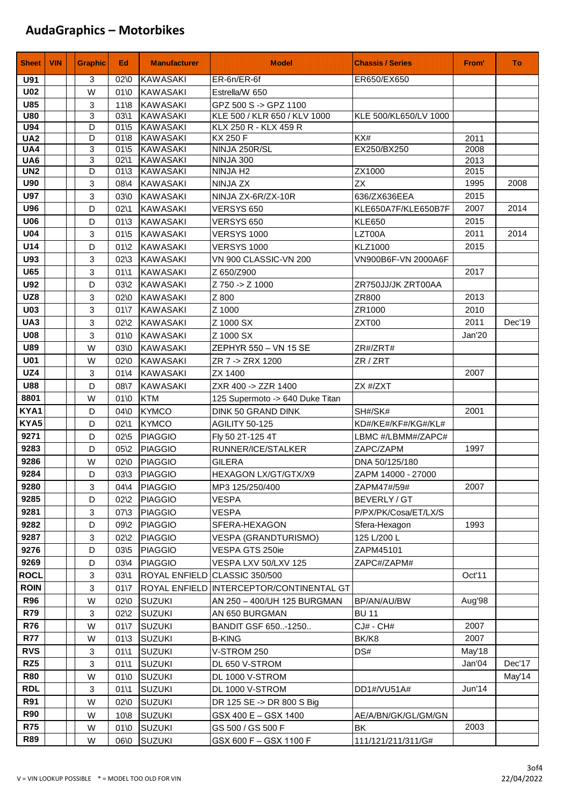| <b>Sheet</b>      | <b>VIN</b> | <b>Graphic</b> | Ed                                | <b>Manufacturer</b>                | <b>Model</b>                             | <b>Chassis / Series</b> | From'        | ா்     |
|-------------------|------------|----------------|-----------------------------------|------------------------------------|------------------------------------------|-------------------------|--------------|--------|
| <b>U91</b>        |            | 3              | $02\,0$                           | <b>KAWASAKI</b>                    | ER-6n/ER-6f                              | ER650/EX650             |              |        |
| <b>U02</b>        |            | W              | 01 <sub>0</sub>                   | <b>KAWASAKI</b>                    | Estrella/W 650                           |                         |              |        |
| <b>U85</b>        |            | 3              | $11 \& 8$                         | <b>KAWASAKI</b>                    | GPZ 500 S -> GPZ 1100                    |                         |              |        |
| <b>U80</b>        |            | 3              | $03\,1$                           | <b>KAWASAKI</b>                    | KLE 500 / KLR 650 / KLV 1000             | KLE 500/KL650/LV 1000   |              |        |
| <b>U94</b>        |            | D              | $01\,5$                           | <b>KAWASAKI</b>                    | KLX 250 R - KLX 459 R                    |                         |              |        |
| UA <sub>2</sub>   |            | D              | $01 \& 8$                         | <b>KAWASAKI</b>                    | <b>KX 250 F</b>                          | KX#                     | 2011         |        |
| UA4               |            | 3              | $01\,5$                           | <b>KAWASAKI</b>                    | NINJA 250R/SL                            | EX250/BX250             | 2008         |        |
| UA6<br><b>UN2</b> |            | 3<br>D         | $02\backslash 1$<br>$01 \times 3$ | <b>KAWASAKI</b><br><b>KAWASAKI</b> | <b>NINJA 300</b><br>NINJA H <sub>2</sub> | ZX1000                  | 2013<br>2015 |        |
| <b>U90</b>        |            | 3              |                                   |                                    |                                          | <b>ZX</b>               | 1995         | 2008   |
| <b>U97</b>        |            | 3              | 08\4<br>03\0                      | <b>KAWASAKI</b><br><b>KAWASAKI</b> | NINJA ZX<br>NINJA ZX-6R/ZX-10R           | 636/ZX636EEA            | 2015         |        |
| <b>U96</b>        |            | D              | $02\backslash 1$                  | <b>KAWASAKI</b>                    | <b>VERSYS 650</b>                        | KLE650A7F/KLE650B7F     | 2007         | 2014   |
| <b>U06</b>        |            | D              | $01 \times 3$                     | <b>KAWASAKI</b>                    | <b>VERSYS 650</b>                        | <b>KLE650</b>           | 2015         |        |
| <b>U04</b>        |            | 3              | $01\,5$                           | KAWASAKI                           | <b>VERSYS 1000</b>                       | LZT00A                  | 2011         | 2014   |
| U14               |            | D              | $01\sqrt{2}$                      | <b>KAWASAKI</b>                    | <b>VERSYS 1000</b>                       | <b>KLZ1000</b>          | 2015         |        |
| U93               |            | 3              | $02\frac{3}{3}$                   | <b>KAWASAKI</b>                    | VN 900 CLASSIC-VN 200                    | VN900B6F-VN 2000A6F     |              |        |
| <b>U65</b>        |            | 3              | 0111                              | <b>KAWASAKI</b>                    | Z 650/Z900                               |                         | 2017         |        |
| <b>U92</b>        |            | D              | 03\2                              | <b>KAWASAKI</b>                    | Z 750 -> Z 1000                          | ZR750JJ/JK ZRT00AA      |              |        |
| UZ8               |            | 3              | 02\0                              | <b>KAWASAKI</b>                    | Z 800                                    | ZR800                   | 2013         |        |
| <b>U03</b>        |            | 3              | $01\sqrt{7}$                      | <b>KAWASAKI</b>                    | Z 1000                                   | ZR1000                  | 2010         |        |
| UA3               |            | 3              | $02\sqrt{2}$                      | <b>KAWASAKI</b>                    | Z 1000 SX                                | ZXT00                   | 2011         | Dec'19 |
| <b>U08</b>        |            | 3              | $01$ \0                           | <b>KAWASAKI</b>                    | Z 1000 SX                                |                         | Jan'20       |        |
| <b>U89</b>        |            | W              | 03\0                              | <b>KAWASAKI</b>                    | ZEPHYR 550 - VN 15 SE                    | ZR#/ZRT#                |              |        |
| <b>U01</b>        |            | W              | 02\0                              | <b>KAWASAKI</b>                    | ZR 7 -> ZRX 1200                         | ZR / ZRT                |              |        |
| UZ4               |            | 3              | $01\sqrt{4}$                      | <b>KAWASAKI</b>                    | ZX 1400                                  |                         | 2007         |        |
| <b>U88</b>        |            | D              | 08\7                              | <b>KAWASAKI</b>                    | ZXR 400 -> ZZR 1400                      | ZX #/ZXT                |              |        |
| 8801              |            | W              | $01$ \0                           | <b>KTM</b>                         | 125 Supermoto -> 640 Duke Titan          |                         |              |        |
| KYA1              |            | D              | 04\0                              | <b>KYMCO</b>                       | DINK 50 GRAND DINK                       | SH#/SK#                 | 2001         |        |
| KYA5              |            | D              | $02\backslash 1$                  | <b>KYMCO</b>                       | <b>AGILITY 50-125</b>                    | KD#/KE#/KF#/KG#/KL#     |              |        |
| 9271              |            | D              | $02\,5$                           | <b>PIAGGIO</b>                     | Fly 50 2T-125 4T                         | LBMC #/LBMM#/ZAPC#      |              |        |
| 9283              |            | D              | $05\frac{2}{2}$                   | <b>PIAGGIO</b>                     | RUNNER/ICE/STALKER                       | ZAPC/ZAPM               | 1997         |        |
| 9286              |            | W              | 02\0                              | <b>PIAGGIO</b>                     | <b>GILERA</b>                            | DNA 50/125/180          |              |        |
| 9284              |            | D              | $03 \times 3$                     | <b>PIAGGIO</b>                     | <b>HEXAGON LX/GT/GTX/X9</b>              | ZAPM 14000 - 27000      |              |        |
| 9280              |            | 3              | 04\4                              | PIAGGIO                            | MP3 125/250/400                          | ZAPM47#/59#             | 2007         |        |
| 9285              |            | D              | $02\frac{2}{2}$                   | <b>PIAGGIO</b>                     | <b>VESPA</b>                             | BEVERLY/GT              |              |        |
| 9281              |            | 3              | $07\frac{3}{3}$                   | <b>PIAGGIO</b>                     | VESPA                                    | P/PX/PK/Cosa/ET/LX/S    |              |        |
| 9282              |            | D              | 09\2                              | <b>PIAGGIO</b>                     | SFERA-HEXAGON                            | Sfera-Hexagon           | 1993         |        |
| 9287              |            | 3              | $02\frac{2}{2}$                   | <b>PIAGGIO</b>                     | VESPA (GRANDTURISMO)                     | 125 L/200 L             |              |        |
| 9276              |            | D              | $03\frac{5}{5}$                   | <b>PIAGGIO</b>                     | VESPA GTS 250ie                          | ZAPM45101               |              |        |
| 9269              |            | D              | 03\4                              | <b>PIAGGIO</b>                     | VESPA LXV 50/LXV 125                     | ZAPC#/ZAPM#             |              |        |
| <b>ROCL</b>       |            | 3              | $03\,1$                           |                                    | ROYAL ENFIELD CLASSIC 350/500            |                         | Oct'11       |        |
| <b>ROIN</b>       |            | $\mathbf{3}$   | $01\sqrt{7}$                      |                                    | ROYAL ENFIELD INTERCEPTOR/CONTINENTAL GT |                         |              |        |
| <b>R96</b>        |            | W              | 02\0                              | <b>SUZUKI</b>                      | AN 250 - 400/UH 125 BURGMAN              | BP/AN/AU/BW             | Aug'98       |        |
| <b>R79</b>        |            | 3              | $02\frac{2}{2}$                   | <b>SUZUKI</b>                      | AN 650 BURGMAN                           | <b>BU 11</b>            |              |        |
| <b>R76</b>        |            | W              | $01\sqrt{7}$                      | <b>SUZUKI</b>                      | BANDIT GSF 650-1250                      | <b>CJ# - CH#</b>        | 2007         |        |
| <b>R77</b>        |            | W              | $01 \times 3$                     | <b>SUZUKI</b>                      | <b>B-KING</b>                            | BK/K8                   | 2007         |        |
| <b>RVS</b>        |            | 3              | $01\$ 1                           | <b>SUZUKI</b>                      | V-STROM 250                              | DS#                     | May'18       |        |
| RZ5               |            | 3              | 0111                              | <b>SUZUKI</b>                      | DL 650 V-STROM                           |                         | Jan'04       | Dec'17 |
| <b>R80</b>        |            | W              | $01$ \0                           | <b>SUZUKI</b>                      | DL 1000 V-STROM                          |                         |              | May'14 |
| <b>RDL</b>        |            | 3              | 0111                              | <b>SUZUKI</b>                      | DL 1000 V-STROM                          | DD1#/VU51A#             | Jun'14       |        |
| <b>R91</b>        |            | W              | 02\0                              | <b>SUZUKI</b>                      | DR 125 SE -> DR 800 S Big                |                         |              |        |
| <b>R90</b>        |            | W              | $10 \& 8$                         | <b>SUZUKI</b>                      | GSX 400 E - GSX 1400                     | AE/A/BN/GK/GL/GM/GN     |              |        |
| <b>R75</b>        |            | W              | 01\0                              | <b>SUZUKI</b>                      | GS 500 / GS 500 F                        | BK                      | 2003         |        |
| <b>R89</b>        |            | W              | 06\0                              | <b>SUZUKI</b>                      | GSX 600 F - GSX 1100 F                   | 111/121/211/311/G#      |              |        |